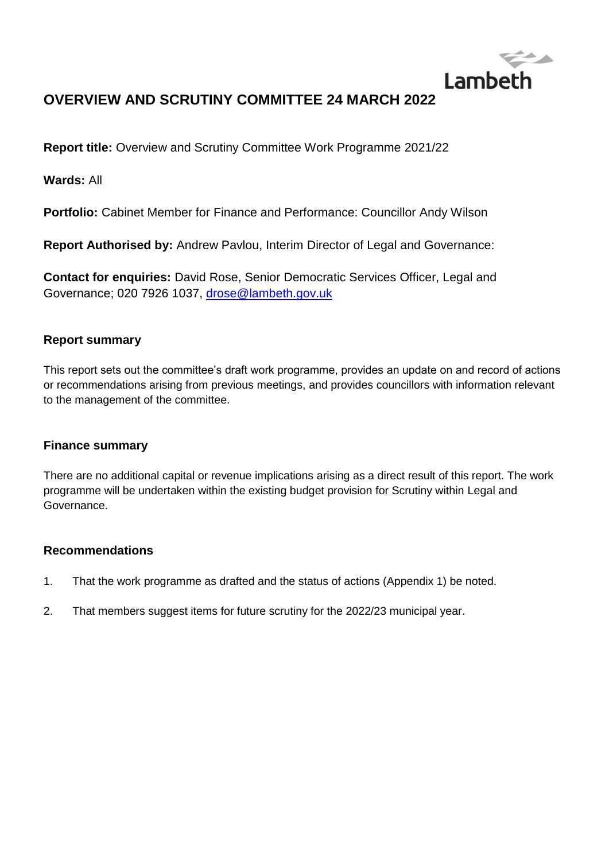

## **OVERVIEW AND SCRUTINY COMMITTEE 24 MARCH 2022**

**Report title:** Overview and Scrutiny Committee Work Programme 2021/22

**Wards:** All

**Portfolio:** Cabinet Member for Finance and Performance: Councillor Andy Wilson

**Report Authorised by:** Andrew Pavlou, Interim Director of Legal and Governance:

**Contact for enquiries:** David Rose, Senior Democratic Services Officer, Legal and Governance; 020 7926 1037, [drose@lambeth.gov.uk](mailto:drose@lambeth.gov.uk)

#### **Report summary**

This report sets out the committee's draft work programme, provides an update on and record of actions or recommendations arising from previous meetings, and provides councillors with information relevant to the management of the committee.

#### **Finance summary**

There are no additional capital or revenue implications arising as a direct result of this report. The work programme will be undertaken within the existing budget provision for Scrutiny within Legal and Governance.

#### **Recommendations**

- 1. That the work programme as drafted and the status of actions (Appendix 1) be noted.
- 2. That members suggest items for future scrutiny for the 2022/23 municipal year.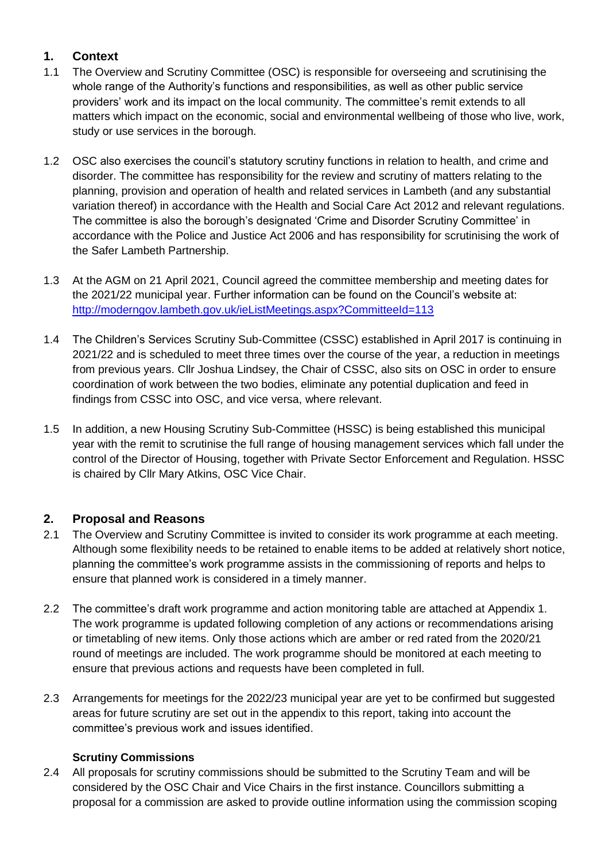## **1. Context**

- 1.1 The Overview and Scrutiny Committee (OSC) is responsible for overseeing and scrutinising the whole range of the Authority's functions and responsibilities, as well as other public service providers' work and its impact on the local community. The committee's remit extends to all matters which impact on the economic, social and environmental wellbeing of those who live, work, study or use services in the borough.
- 1.2 OSC also exercises the council's statutory scrutiny functions in relation to health, and crime and disorder. The committee has responsibility for the review and scrutiny of matters relating to the planning, provision and operation of health and related services in Lambeth (and any substantial variation thereof) in accordance with the Health and Social Care Act 2012 and relevant regulations. The committee is also the borough's designated 'Crime and Disorder Scrutiny Committee' in accordance with the Police and Justice Act 2006 and has responsibility for scrutinising the work of the Safer Lambeth Partnership.
- 1.3 At the AGM on 21 April 2021, Council agreed the committee membership and meeting dates for the 2021/22 municipal year. Further information can be found on the Council's website at: <http://moderngov.lambeth.gov.uk/ieListMeetings.aspx?CommitteeId=113>
- 1.4 The Children's Services Scrutiny Sub-Committee (CSSC) established in April 2017 is continuing in 2021/22 and is scheduled to meet three times over the course of the year, a reduction in meetings from previous years. Cllr Joshua Lindsey, the Chair of CSSC, also sits on OSC in order to ensure coordination of work between the two bodies, eliminate any potential duplication and feed in findings from CSSC into OSC, and vice versa, where relevant.
- 1.5 In addition, a new Housing Scrutiny Sub-Committee (HSSC) is being established this municipal year with the remit to scrutinise the full range of housing management services which fall under the control of the Director of Housing, together with Private Sector Enforcement and Regulation. HSSC is chaired by Cllr Mary Atkins, OSC Vice Chair.

## **2. Proposal and Reasons**

- 2.1 The Overview and Scrutiny Committee is invited to consider its work programme at each meeting. Although some flexibility needs to be retained to enable items to be added at relatively short notice, planning the committee's work programme assists in the commissioning of reports and helps to ensure that planned work is considered in a timely manner.
- 2.2 The committee's draft work programme and action monitoring table are attached at Appendix 1. The work programme is updated following completion of any actions or recommendations arising or timetabling of new items. Only those actions which are amber or red rated from the 2020/21 round of meetings are included. The work programme should be monitored at each meeting to ensure that previous actions and requests have been completed in full.
- 2.3 Arrangements for meetings for the 2022/23 municipal year are yet to be confirmed but suggested areas for future scrutiny are set out in the appendix to this report, taking into account the committee's previous work and issues identified.

#### **Scrutiny Commissions**

2.4 All proposals for scrutiny commissions should be submitted to the Scrutiny Team and will be considered by the OSC Chair and Vice Chairs in the first instance. Councillors submitting a proposal for a commission are asked to provide outline information using the commission scoping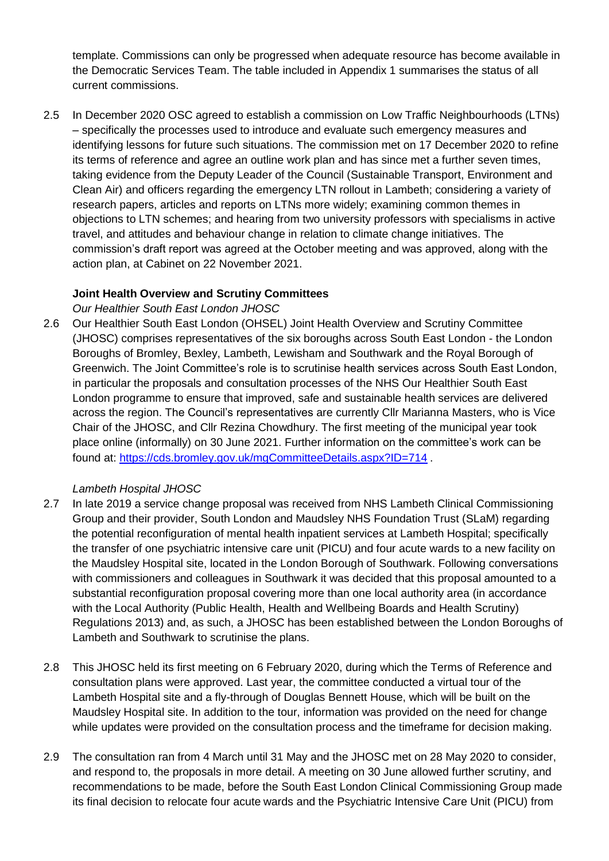template. Commissions can only be progressed when adequate resource has become available in the Democratic Services Team. The table included in Appendix 1 summarises the status of all current commissions.

2.5 In December 2020 OSC agreed to establish a commission on Low Traffic Neighbourhoods (LTNs) – specifically the processes used to introduce and evaluate such emergency measures and identifying lessons for future such situations. The commission met on 17 December 2020 to refine its terms of reference and agree an outline work plan and has since met a further seven times, taking evidence from the Deputy Leader of the Council (Sustainable Transport, Environment and Clean Air) and officers regarding the emergency LTN rollout in Lambeth; considering a variety of research papers, articles and reports on LTNs more widely; examining common themes in objections to LTN schemes; and hearing from two university professors with specialisms in active travel, and attitudes and behaviour change in relation to climate change initiatives. The commission's draft report was agreed at the October meeting and was approved, along with the action plan, at Cabinet on 22 November 2021.

#### **Joint Health Overview and Scrutiny Committees**

#### *Our Healthier South East London JHOSC*

2.6 Our Healthier South East London (OHSEL) Joint Health Overview and Scrutiny Committee (JHOSC) comprises representatives of the six boroughs across South East London - the London Boroughs of Bromley, Bexley, Lambeth, Lewisham and Southwark and the Royal Borough of Greenwich. The Joint Committee's role is to scrutinise health services across South East London, in particular the proposals and consultation processes of the NHS Our Healthier South East London programme to ensure that improved, safe and sustainable health services are delivered across the region. The Council's representatives are currently Cllr Marianna Masters, who is Vice Chair of the JHOSC, and Cllr Rezina Chowdhury. The first meeting of the municipal year took place online (informally) on 30 June 2021. Further information on the committee's work can be found at:<https://cds.bromley.gov.uk/mgCommitteeDetails.aspx?ID=714> .

#### *Lambeth Hospital JHOSC*

- 2.7 In late 2019 a service change proposal was received from NHS Lambeth Clinical Commissioning Group and their provider, South London and Maudsley NHS Foundation Trust (SLaM) regarding the potential reconfiguration of mental health inpatient services at Lambeth Hospital; specifically the transfer of one psychiatric intensive care unit (PICU) and four acute wards to a new facility on the Maudsley Hospital site, located in the London Borough of Southwark. Following conversations with commissioners and colleagues in Southwark it was decided that this proposal amounted to a substantial reconfiguration proposal covering more than one local authority area (in accordance with the Local Authority (Public Health, Health and Wellbeing Boards and Health Scrutiny) Regulations 2013) and, as such, a JHOSC has been established between the London Boroughs of Lambeth and Southwark to scrutinise the plans.
- 2.8 This JHOSC held its first meeting on 6 February 2020, during which the Terms of Reference and consultation plans were approved. Last year, the committee conducted a virtual tour of the Lambeth Hospital site and a fly-through of Douglas Bennett House, which will be built on the Maudsley Hospital site. In addition to the tour, information was provided on the need for change while updates were provided on the consultation process and the timeframe for decision making.
- 2.9 The consultation ran from 4 March until 31 May and the JHOSC met on 28 May 2020 to consider, and respond to, the proposals in more detail. A meeting on 30 June allowed further scrutiny, and recommendations to be made, before the South East London Clinical Commissioning Group made its final decision to relocate four acute wards and the Psychiatric Intensive Care Unit (PICU) from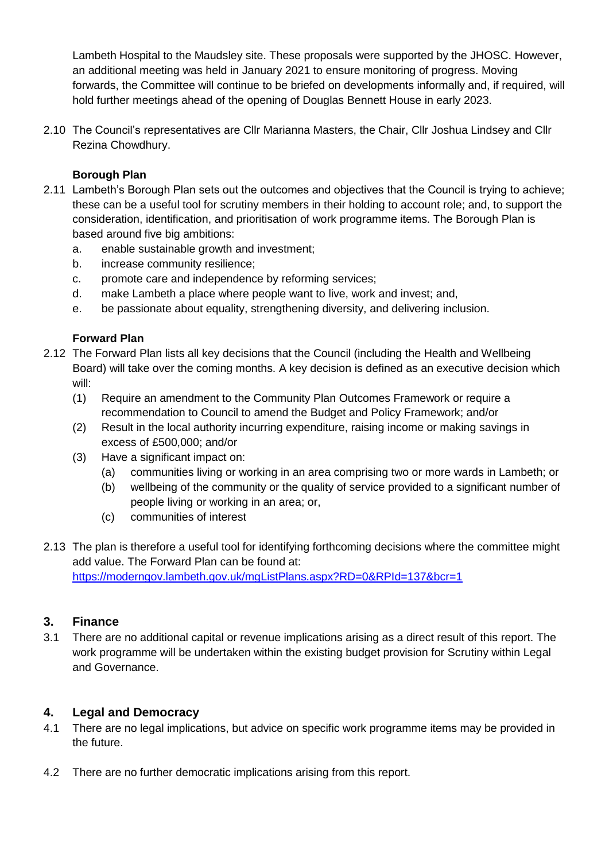Lambeth Hospital to the Maudsley site. These proposals were supported by the JHOSC. However, an additional meeting was held in January 2021 to ensure monitoring of progress. Moving forwards, the Committee will continue to be briefed on developments informally and, if required, will hold further meetings ahead of the opening of Douglas Bennett House in early 2023.

2.10 The Council's representatives are Cllr Marianna Masters, the Chair, Cllr Joshua Lindsey and Cllr Rezina Chowdhury.

#### **Borough Plan**

- 2.11 Lambeth's Borough Plan sets out the outcomes and objectives that the Council is trying to achieve; these can be a useful tool for scrutiny members in their holding to account role; and, to support the consideration, identification, and prioritisation of work programme items. The Borough Plan is based around five big ambitions:
	- a. enable sustainable growth and investment;
	- b. increase community resilience;
	- c. promote care and independence by reforming services;
	- d. make Lambeth a place where people want to live, work and invest; and,
	- e. be passionate about equality, strengthening diversity, and delivering inclusion.

#### **Forward Plan**

- 2.12 The Forward Plan lists all key decisions that the Council (including the Health and Wellbeing Board) will take over the coming months. A key decision is defined as an executive decision which will:
	- (1) Require an amendment to the Community Plan Outcomes Framework or require a recommendation to Council to amend the Budget and Policy Framework; and/or
	- (2) Result in the local authority incurring expenditure, raising income or making savings in excess of £500,000; and/or
	- (3) Have a significant impact on:
		- (a) communities living or working in an area comprising two or more wards in Lambeth; or
		- (b) wellbeing of the community or the quality of service provided to a significant number of people living or working in an area; or,
		- (c) communities of interest
- 2.13 The plan is therefore a useful tool for identifying forthcoming decisions where the committee might add value. The Forward Plan can be found at: <https://moderngov.lambeth.gov.uk/mgListPlans.aspx?RD=0&RPId=137&bcr=1>

#### **3. Finance**

3.1 There are no additional capital or revenue implications arising as a direct result of this report. The work programme will be undertaken within the existing budget provision for Scrutiny within Legal and Governance.

## **4. Legal and Democracy**

- 4.1 There are no legal implications, but advice on specific work programme items may be provided in the future.
- 4.2 There are no further democratic implications arising from this report.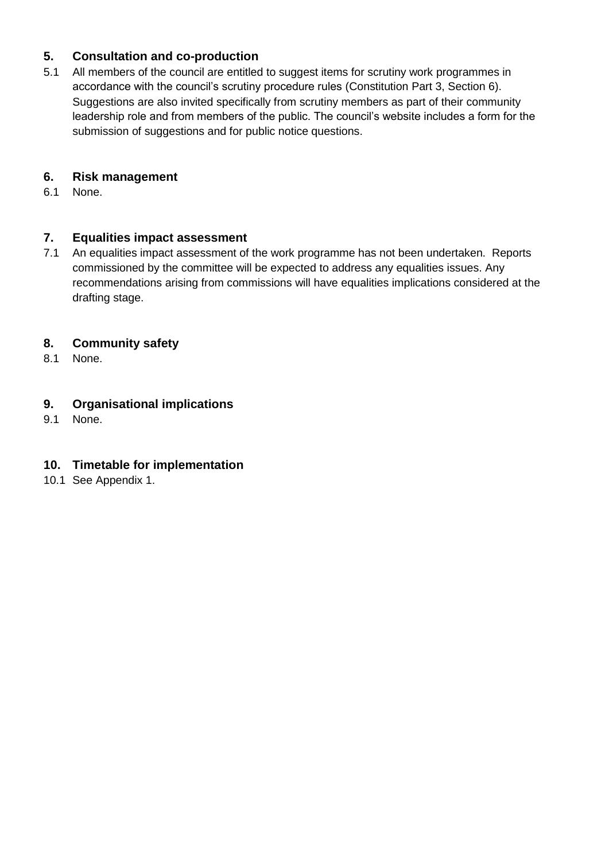## **5. Consultation and co-production**

5.1 All members of the council are entitled to suggest items for scrutiny work programmes in accordance with the council's scrutiny procedure rules (Constitution Part 3, Section 6). Suggestions are also invited specifically from scrutiny members as part of their community leadership role and from members of the public. The council's website includes a form for the submission of suggestions and for public notice questions.

### **6. Risk management**

6.1 None.

#### **7. Equalities impact assessment**

7.1 An equalities impact assessment of the work programme has not been undertaken. Reports commissioned by the committee will be expected to address any equalities issues. Any recommendations arising from commissions will have equalities implications considered at the drafting stage.

## **8. Community safety**

8.1 None.

#### **9. Organisational implications**

9.1 None.

## **10. Timetable for implementation**

10.1 See Appendix 1.